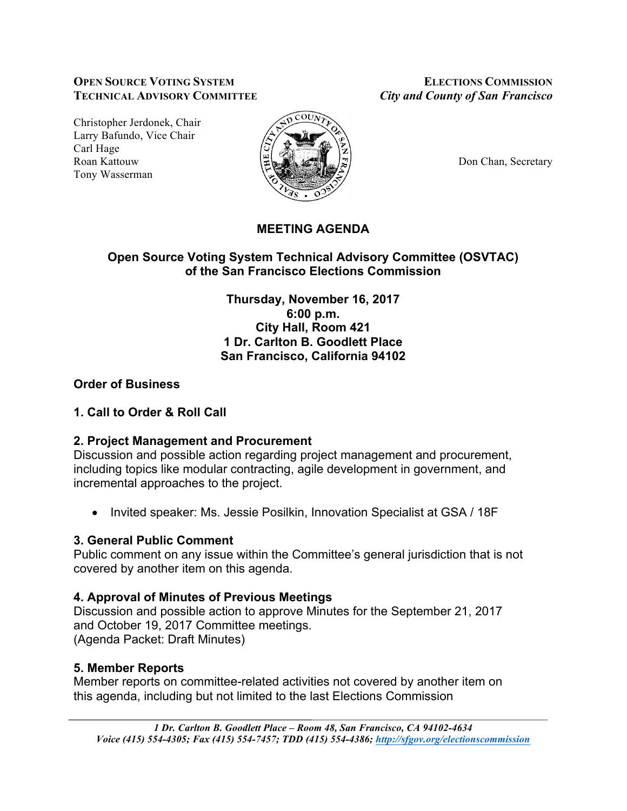### **OPEN SOURCE VOTING SYSTEM ELECTIONS COMMISSION TECHNICAL ADVISORY COMMITTEE** *City and County of San Francisco*

Christopher Jerdonek, Chair Larry Bafundo, Vice Chair Carl Hage Roan Kattouw  $\Big|\frac{\mu}{\mu}\Big|_{\infty}$   $\Big|\frac{\mu}{\mu}\Big|_{\infty}$   $\Big|\frac{\mu}{\mu}\Big|_{\infty}$  Don Chan, Secretary Tony Wasserman



# **MEETING AGENDA**

## **Open Source Voting System Technical Advisory Committee (OSVTAC) of the San Francisco Elections Commission**

**Thursday, November 16, 2017 6:00 p.m. City Hall, Room 421 1 Dr. Carlton B. Goodlett Place San Francisco, California 94102**

## **Order of Business**

## **1. Call to Order & Roll Call**

## **2. Project Management and Procurement**

Discussion and possible action regarding project management and procurement, including topics like modular contracting, agile development in government, and incremental approaches to the project.

• Invited speaker: Ms. Jessie Posilkin, Innovation Specialist at GSA / 18F

## **3. General Public Comment**

Public comment on any issue within the Committee's general jurisdiction that is not covered by another item on this agenda.

# **4. Approval of Minutes of Previous Meetings**

Discussion and possible action to approve Minutes for the September 21, 2017 and October 19, 2017 Committee meetings. (Agenda Packet: Draft Minutes)

# **5. Member Reports**

Member reports on committee-related activities not covered by another item on this agenda, including but not limited to the last Elections Commission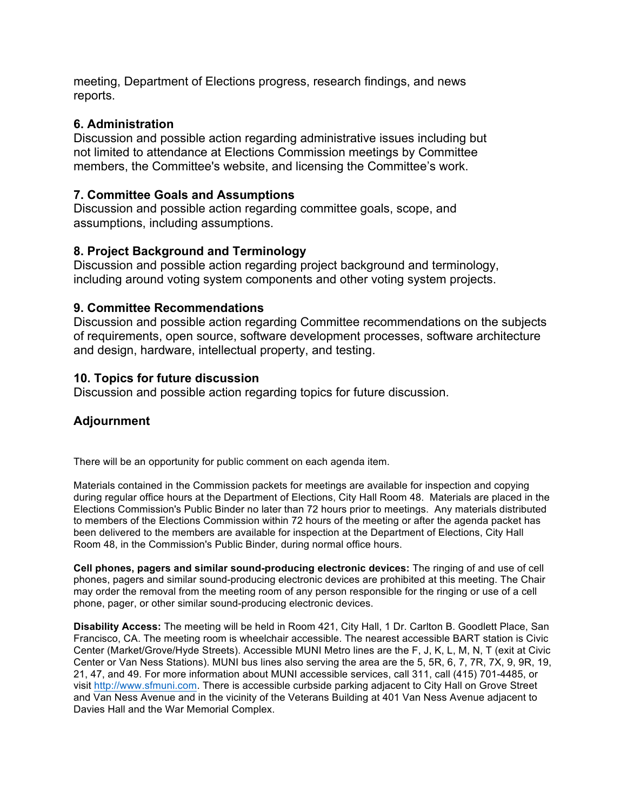meeting, Department of Elections progress, research findings, and news reports.

### **6. Administration**

Discussion and possible action regarding administrative issues including but not limited to attendance at Elections Commission meetings by Committee members, the Committee's website, and licensing the Committee's work.

### **7. Committee Goals and Assumptions**

Discussion and possible action regarding committee goals, scope, and assumptions, including assumptions.

### **8. Project Background and Terminology**

Discussion and possible action regarding project background and terminology, including around voting system components and other voting system projects.

#### **9. Committee Recommendations**

Discussion and possible action regarding Committee recommendations on the subjects of requirements, open source, software development processes, software architecture and design, hardware, intellectual property, and testing.

#### **10. Topics for future discussion**

Discussion and possible action regarding topics for future discussion.

### **Adjournment**

There will be an opportunity for public comment on each agenda item.

Materials contained in the Commission packets for meetings are available for inspection and copying during regular office hours at the Department of Elections, City Hall Room 48. Materials are placed in the Elections Commission's Public Binder no later than 72 hours prior to meetings. Any materials distributed to members of the Elections Commission within 72 hours of the meeting or after the agenda packet has been delivered to the members are available for inspection at the Department of Elections, City Hall Room 48, in the Commission's Public Binder, during normal office hours.

**Cell phones, pagers and similar sound-producing electronic devices:** The ringing of and use of cell phones, pagers and similar sound-producing electronic devices are prohibited at this meeting. The Chair may order the removal from the meeting room of any person responsible for the ringing or use of a cell phone, pager, or other similar sound-producing electronic devices.

**Disability Access:** The meeting will be held in Room 421, City Hall, 1 Dr. Carlton B. Goodlett Place, San Francisco, CA. The meeting room is wheelchair accessible. The nearest accessible BART station is Civic Center (Market/Grove/Hyde Streets). Accessible MUNI Metro lines are the F, J, K, L, M, N, T (exit at Civic Center or Van Ness Stations). MUNI bus lines also serving the area are the 5, 5R, 6, 7, 7R, 7X, 9, 9R, 19, 21, 47, and 49. For more information about MUNI accessible services, call 311, call (415) 701-4485, or visit http://www.sfmuni.com. There is accessible curbside parking adjacent to City Hall on Grove Street and Van Ness Avenue and in the vicinity of the Veterans Building at 401 Van Ness Avenue adjacent to Davies Hall and the War Memorial Complex.